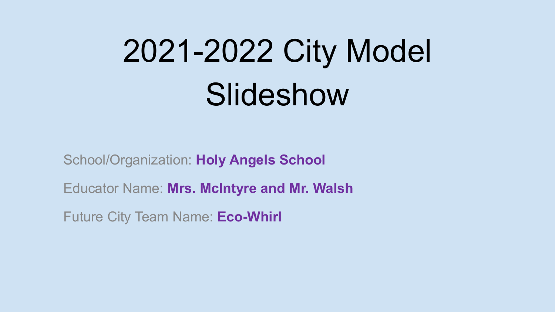## 2021-2022 City Model Slideshow

School/Organization: Holy Angels School

Educator Name: Mrs. McIntyre and Mr. Walsh

Future City Team Name: Eco-Whirl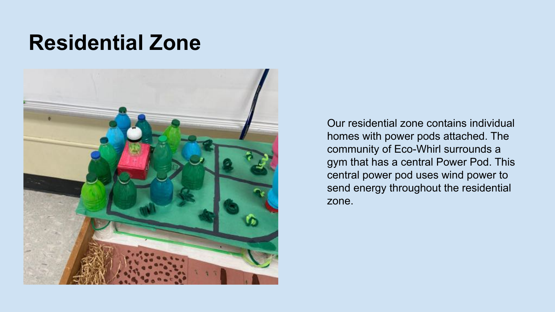#### Residential Zone



Our residential zone contains individual homes with power pods attached. The community of Eco-Whirl surrounds a gym that has a central Power Pod. This central power pod uses wind power to send energy throughout the residential zone.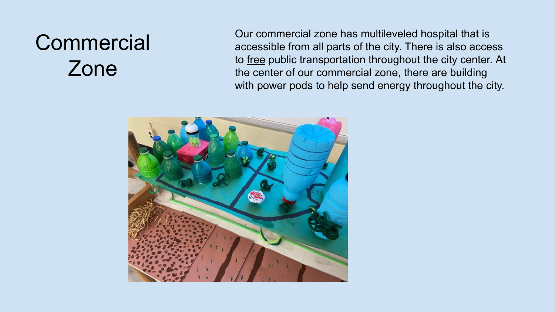#### **Commercial** Zone

Our commercial zone has multileveled hospital that is accessible from all parts of the city. There is also access to free public transportation throughout the city center. At the center of our commercial zone, there are building with power pods to help send energy throughout the city.

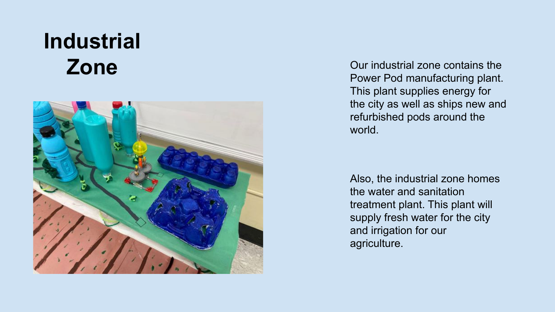# Industrial



zone  $\sum$ one  $\sum$ Power Pod manufacturing plant. This plant supplies energy for the city as well as ships new and refurbished pods around the world.

> Also, the industrial zone homes the water and sanitation treatment plant. This plant will supply fresh water for the city and irrigation for our agriculture.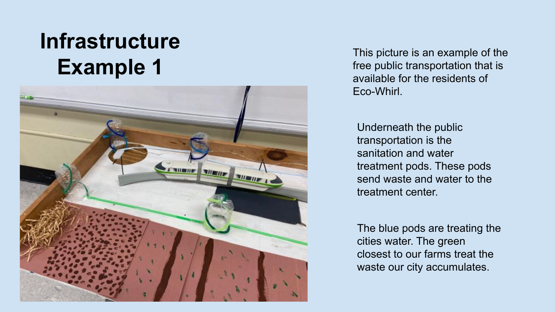#### **Infrastructure** Example 1



This picture is an example of the free public transportation that is available for the residents of Eco-Whirl.

Underneath the public transportation is the sanitation and water treatment pods. These pods send waste and water to the treatment center.

The blue pods are treating the cities water. The green closest to our farms treat the waste our city accumulates.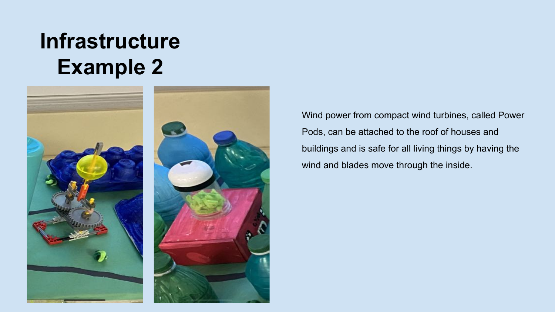#### **Infrastructure** Example 2



Wind power from compact wind turbines, called Power Pods, can be attached to the roof of houses and buildings and is safe for all living things by having the wind and blades move through the inside.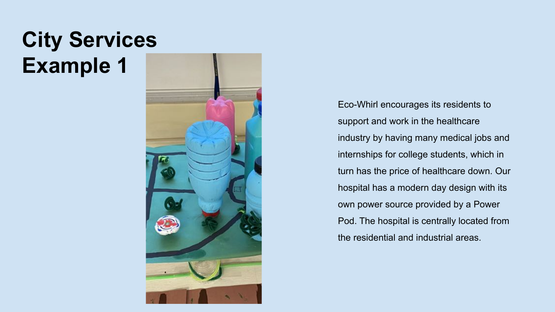#### City Services Example 1



Eco-Whirl encourages its residents to support and work in the healthcare industry by having many medical jobs and internships for college students, which in turn has the price of healthcare down. Our hospital has a modern day design with its own power source provided by a Power Pod. The hospital is centrally located from the residential and industrial areas.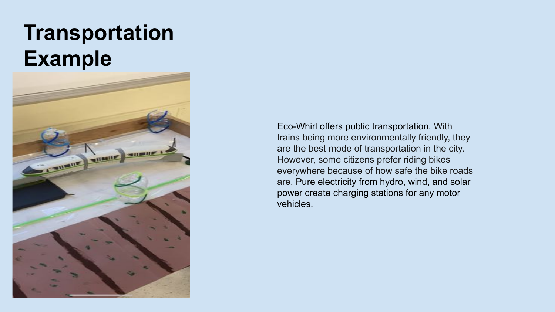#### **Transportation** Example



Eco-Whirl offers public transportation. With trains being more environmentally friendly, they are the best mode of transportation in the city. However, some citizens prefer riding bikes everywhere because of how safe the bike roads are. Pure electricity from hydro, wind, and solar power create charging stations for any motor vehicles.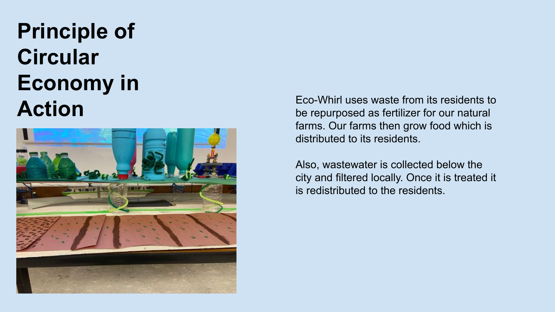## Principle of **Circular** Economy in



**Action** Eco-Whirl uses waste from its residents to Eco-Whirl uses waste from its residents to be repurposed as fertilizer for our natural farms. Our farms then grow food which is distributed to its residents.

> Also, wastewater is collected below the city and filtered locally. Once it is treated it is redistributed to the residents.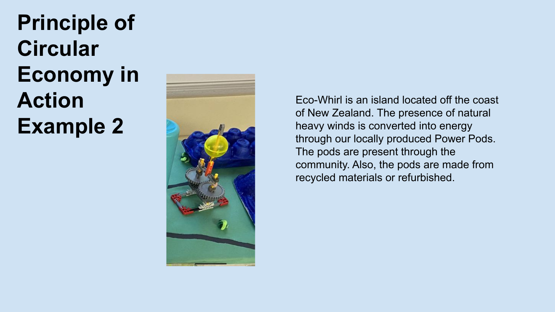Principle of **Circular** Economy in Action Example 2



Eco-Whirl is an island located off the coast of New Zealand. The presence of natural heavy winds is converted into energy through our locally produced Power Pods. The pods are present through the community. Also, the pods are made from recycled materials or refurbished.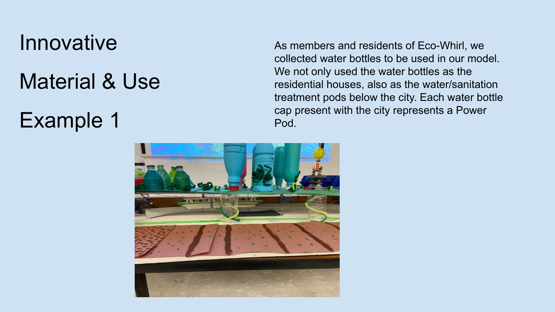#### **Innovative**

#### Material & Use

#### Example 1

As members and residents of Eco-Whirl, we collected water bottles to be used in our model. We not only used the water bottles as the residential houses, also as the water/sanitation treatment pods below the city. Each water bottle cap present with the city represents a Power Pod.

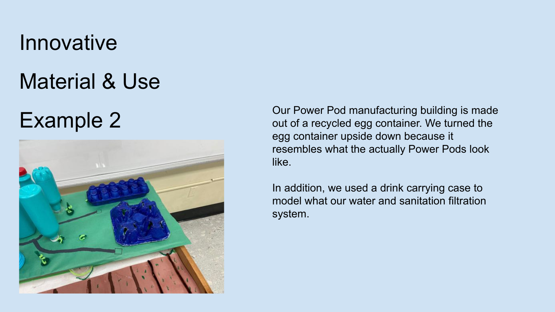#### **Innovative**

#### Material & Use



Example 2 Our Power Pod manufacturing building is made<br>
out of a recycled egg container. We turned the egg container upside down because it resembles what the actually Power Pods look like.

> In addition, we used a drink carrying case to model what our water and sanitation filtration system.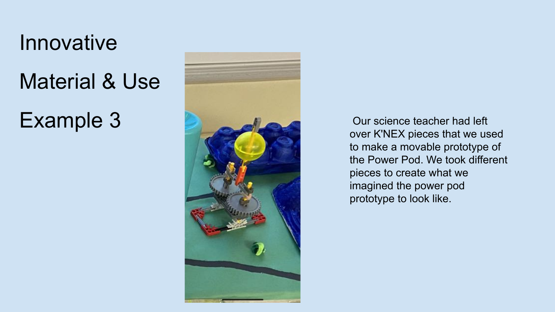## **Innovative** Material & Use Example 3



 Our science teacher had left over K'NEX pieces that we used to make a movable prototype of the Power Pod. We took different pieces to create what we imagined the power pod prototype to look like.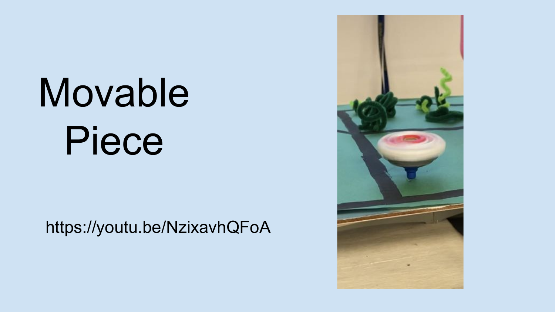# Movable Piece

https://youtu.be/NzixavhQFoA

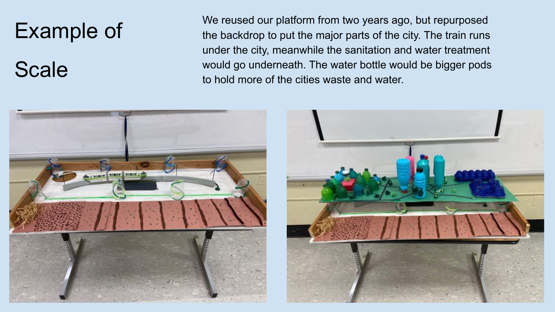#### Example of

#### **Scale**

We reused our platform from two years ago, but repurposed the backdrop to put the major parts of the city. The train runs under the city, meanwhile the sanitation and water treatment would go underneath. The water bottle would be bigger pods to hold more of the cities waste and water.